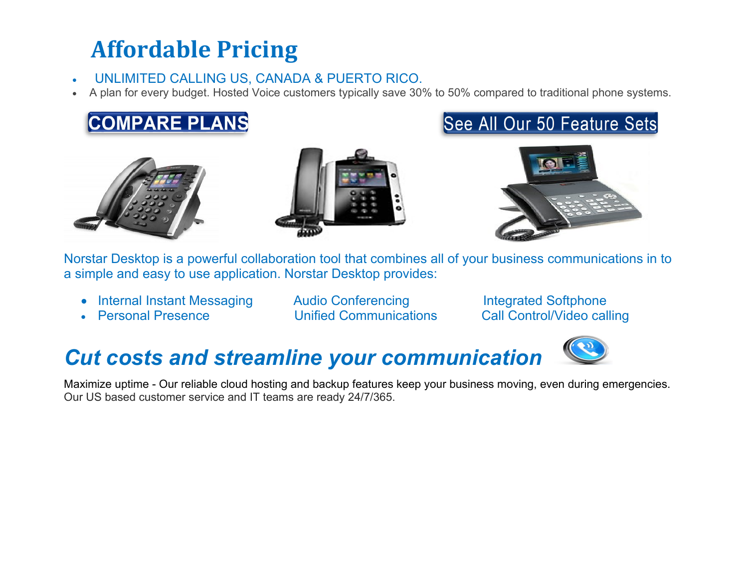# **Affordable Pricing**

#### • UNLIMITED CALLING US, CANADA & PUERTO RICO.

• A plan for every budget. Hosted Voice customers typically save 30% to 50% compared to traditional phone systems.











Norstar Desktop is a powerful collaboration tool that combines all of your business communications in to a simple and easy to use application. Norstar Desktop provides:

- Internal Instant Messaging Audio Conferencing Integrated Softphone
- 

• Personal Presence Unified Communications Call Control/Video calling



### *Cut costs and streamline your communication*

Maximize uptime - Our reliable cloud hosting and backup features keep your business moving, even during emergencies. Our US based customer service and IT teams are ready 24/7/365.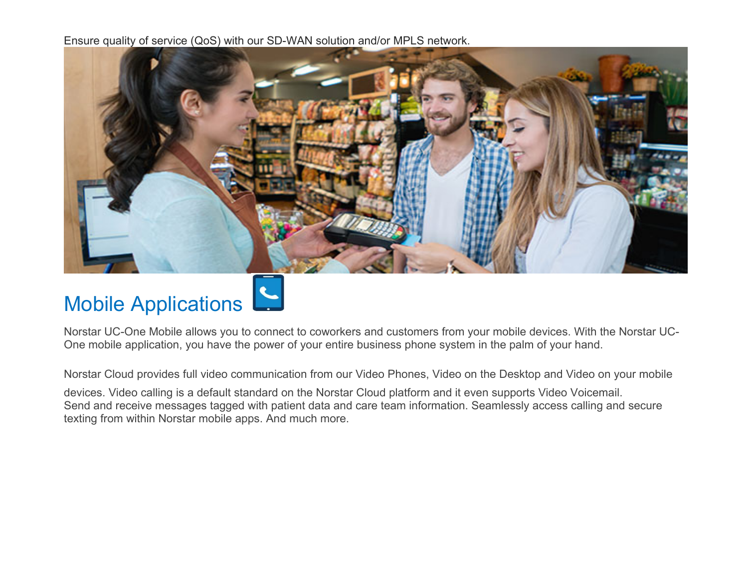Ensure quality of service (QoS) with our SD-WAN solution and/or MPLS network.



# Mobile Applications

Norstar UC-One Mobile allows you to connect to coworkers and customers from your mobile devices. With the Norstar UC-One mobile application, you have the power of your entire business phone system in the palm of your hand.

Norstar Cloud provides full video communication from our Video Phones, Video on the Desktop and Video on your mobile

devices. Video calling is a default standard on the Norstar Cloud platform and it even supports Video Voicemail. Send and receive messages tagged with patient data and care team information. Seamlessly access calling and secure texting from within Norstar mobile apps. And much more.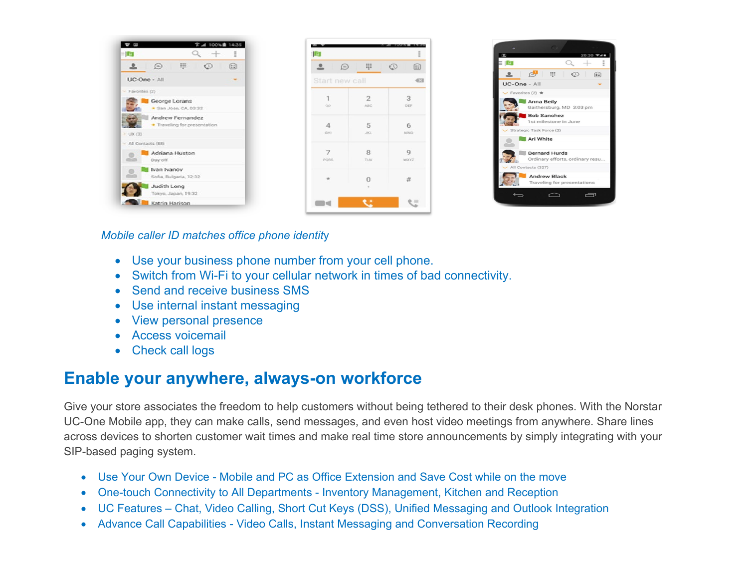| - Ier                                            | Ξ<br>$\div$ | <b>D</b>             |                              |                              |
|--------------------------------------------------|-------------|----------------------|------------------------------|------------------------------|
| 甲<br>$\odot$                                     | 8<br>€      | ≗<br>$\bigcirc$      | m                            | $\mathbb{O}$<br>$\boxed{22}$ |
| UC-One - All                                     | -           |                      | Start new call               |                              |
| $-$ Favorites (2)                                |             |                      |                              |                              |
| George Lorans<br>San Jose, CA, 03:32             |             | $\overline{1}$<br>GD | $\overline{2}$<br><b>ABC</b> | 3<br>DEF                     |
| Andrew Fernandez<br>· Traveling for presentation |             | $\overline{A}$       | 5                            | 6                            |
| $>$ UX (3)                                       |             | Q.HI                 | <b>JBCL</b>                  | MNO.                         |
| - All Contacts (88)                              |             |                      |                              |                              |
| Adriana Huston<br>Day off                        |             | 7<br>PORS            | 8<br>TUV.                    | Q<br><b>WXYZ</b>             |
| Ivan Ivanov<br>Sofia, Bulgaria, 12:32            |             | $\frac{1}{2}$        | $\Omega$                     | #                            |
| Judith Long<br>Tokyo, Japan, 19:32               |             |                      |                              |                              |
| Katrin Harison                                   |             | m et                 |                              | €≡                           |



*Mobile caller ID matches office phone identit*y

- Use your business phone number from your cell phone.
- Switch from Wi-Fi to your cellular network in times of bad connectivity.
- Send and receive business SMS
- Use internal instant messaging
- View personal presence
- Access voicemail
- Check call logs

#### **Enable your anywhere, always-on workforce**

Give your store associates the freedom to help customers without being tethered to their desk phones. With the Norstar UC-One Mobile app, they can make calls, send messages, and even host video meetings from anywhere. Share lines across devices to shorten customer wait times and make real time store announcements by simply integrating with your SIP-based paging system.

- Use Your Own Device Mobile and PC as Office Extension and Save Cost while on the move
- One-touch Connectivity to All Departments Inventory Management, Kitchen and Reception
- UC Features Chat, Video Calling, Short Cut Keys (DSS), Unified Messaging and Outlook Integration
- Advance Call Capabilities Video Calls, Instant Messaging and Conversation Recording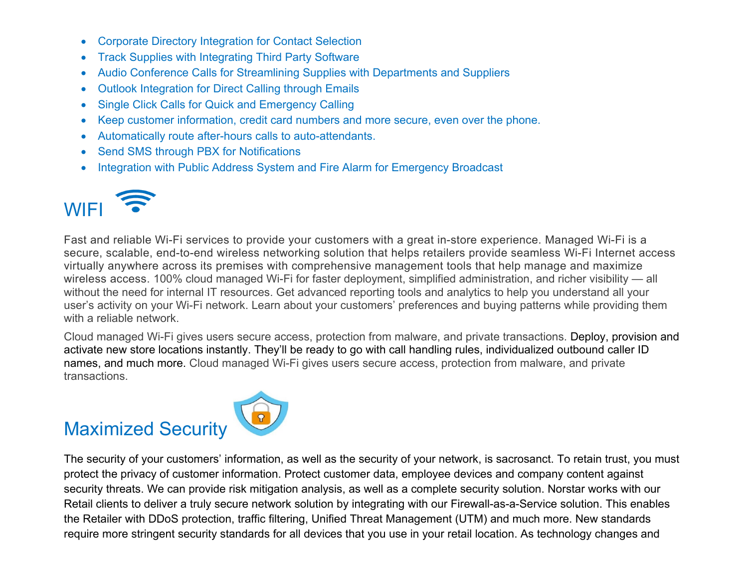- Corporate Directory Integration for Contact Selection
- Track Supplies with Integrating Third Party Software
- Audio Conference Calls for Streamlining Supplies with Departments and Suppliers
- Outlook Integration for Direct Calling through Emails
- Single Click Calls for Quick and Emergency Calling
- Keep customer information, credit card numbers and more secure, even over the phone.
- Automatically route after-hours calls to auto-attendants.
- Send SMS through PBX for Notifications
- Integration with Public Address System and Fire Alarm for Emergency Broadcast



Fast and reliable Wi-Fi services to provide your customers with a great in-store experience. Managed Wi-Fi is a secure, scalable, end-to-end wireless networking solution that helps retailers provide seamless Wi-Fi Internet access virtually anywhere across its premises with comprehensive management tools that help manage and maximize wireless access. 100% cloud managed Wi-Fi for faster deployment, simplified administration, and richer visibility — all without the need for internal IT resources. Get advanced reporting tools and analytics to help you understand all your user's activity on your Wi-Fi network. Learn about your customers' preferences and buying patterns while providing them with a reliable network.

Cloud managed Wi-Fi gives users secure access, protection from malware, and private transactions. Deploy, provision and activate new store locations instantly. They'll be ready to go with call handling rules, individualized outbound caller ID names, and much more. Cloud managed Wi-Fi gives users secure access, protection from malware, and private transactions.

## Maximized Security



The security of your customers' information, as well as the security of your network, is sacrosanct. To retain trust, you must protect the privacy of customer information. Protect customer data, employee devices and company content against security threats. We can provide risk mitigation analysis, as well as a complete security solution. Norstar works with our Retail clients to deliver a truly secure network solution by integrating with our Firewall-as-a-Service solution. This enables the Retailer with DDoS protection, traffic filtering, Unified Threat Management (UTM) and much more. New standards require more stringent security standards for all devices that you use in your retail location. As technology changes and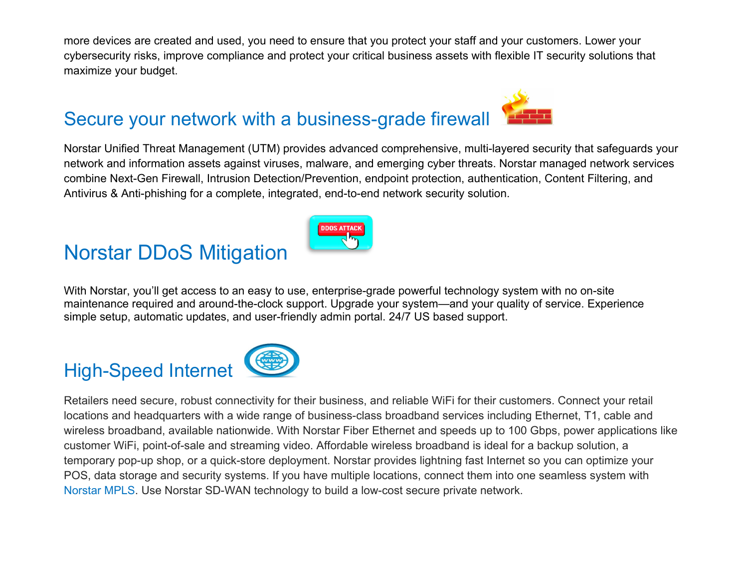more devices are created and used, you need to ensure that you protect your staff and your customers. Lower your cybersecurity risks, improve compliance and protect your critical business assets with flexible IT security solutions that maximize your budget.



Norstar Unified Threat Management (UTM) provides advanced comprehensive, multi-layered security that safeguards your network and information assets against viruses, malware, and emerging cyber threats. Norstar managed network services combine Next-Gen Firewall, Intrusion Detection/Prevention, endpoint protection, authentication, Content Filtering, and Antivirus & Anti-phishing for a complete, integrated, end-to-end network security solution.

#### Norstar DDoS Mitigation



With Norstar, you'll get access to an easy to use, enterprise-grade powerful technology system with no on-site maintenance required and around-the-clock support. Upgrade your system—and your quality of service. Experience simple setup, automatic updates, and user-friendly admin portal. 24/7 US based support.

#### High-Speed Internet



Retailers need secure, robust connectivity for their business, and reliable WiFi for their customers. Connect your retail locations and headquarters with a wide range of business-class broadband services including Ethernet, T1, cable and wireless broadband, available nationwide. With Norstar Fiber Ethernet and speeds up to 100 Gbps, power applications like customer WiFi, point-of-sale and streaming video. Affordable wireless broadband is ideal for a backup solution, a temporary pop-up shop, or a quick-store deployment. Norstar provides lightning fast Internet so you can optimize your POS, data storage and security systems. If you have multiple locations, connect them into one seamless system with Norstar MPLS. Use Norstar SD-WAN technology to build a low-cost secure private network.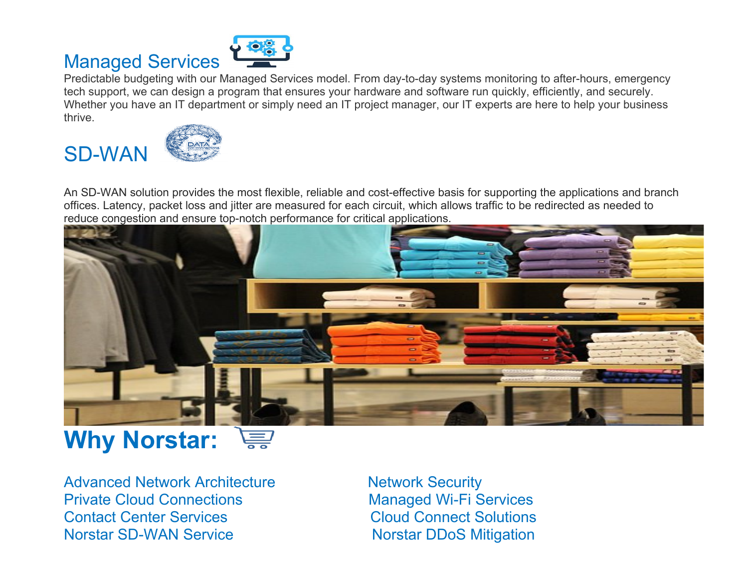## Managed Services



Predictable budgeting with our Managed Services model. From day-to-day systems monitoring to after-hours, emergency tech support, we can design a program that ensures your hardware and software run quickly, efficiently, and securely. Whether you have an IT department or simply need an IT project manager, our IT experts are here to help your business thrive.

SD-WAN



An SD-WAN solution provides the most flexible, reliable and cost-effective basis for supporting the applications and branch offices. Latency, packet loss and jitter are measured for each circuit, which allows traffic to be redirected as needed to reduce congestion and ensure top-notch performance for critical applications.



#### **Why Norstar:**  <u>E</u>

Advanced Network Architecture Network Security Private Cloud Connections Managed Wi-Fi Services **Contact Center Services Cloud Connect Solutions** Norstar SD-WAN Service Norstar DDoS Mitigation